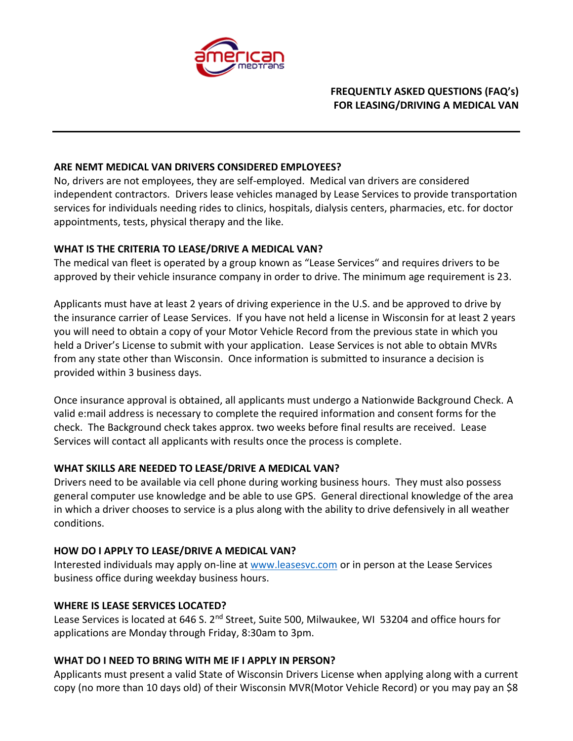

# **FREQUENTLY ASKED QUESTIONS (FAQ's) FOR LEASING/DRIVING A MEDICAL VAN**

#### **ARE NEMT MEDICAL VAN DRIVERS CONSIDERED EMPLOYEES?**

No, drivers are not employees, they are self-employed. Medical van drivers are considered independent contractors. Drivers lease vehicles managed by Lease Services to provide transportation services for individuals needing rides to clinics, hospitals, dialysis centers, pharmacies, etc. for doctor appointments, tests, physical therapy and the like.

#### **WHAT IS THE CRITERIA TO LEASE/DRIVE A MEDICAL VAN?**

The medical van fleet is operated by a group known as "Lease Services" and requires drivers to be approved by their vehicle insurance company in order to drive. The minimum age requirement is 23.

Applicants must have at least 2 years of driving experience in the U.S. and be approved to drive by the insurance carrier of Lease Services. If you have not held a license in Wisconsin for at least 2 years you will need to obtain a copy of your Motor Vehicle Record from the previous state in which you held a Driver's License to submit with your application. Lease Services is not able to obtain MVRs from any state other than Wisconsin. Once information is submitted to insurance a decision is provided within 3 business days.

Once insurance approval is obtained, all applicants must undergo a Nationwide Background Check. A valid e:mail address is necessary to complete the required information and consent forms for the check. The Background check takes approx. two weeks before final results are received. Lease Services will contact all applicants with results once the process is complete.

# **WHAT SKILLS ARE NEEDED TO LEASE/DRIVE A MEDICAL VAN?**

Drivers need to be available via cell phone during working business hours. They must also possess general computer use knowledge and be able to use GPS. General directional knowledge of the area in which a driver chooses to service is a plus along with the ability to drive defensively in all weather conditions.

# **HOW DO I APPLY TO LEASE/DRIVE A MEDICAL VAN?**

Interested individuals may apply on-line a[t www.leasesvc.com](http://www.leasesvc.com/) or in person at the Lease Services business office during weekday business hours.

#### **WHERE IS LEASE SERVICES LOCATED?**

Lease Services is located at 646 S. 2<sup>nd</sup> Street, Suite 500, Milwaukee, WI 53204 and office hours for applications are Monday through Friday, 8:30am to 3pm.

# **WHAT DO I NEED TO BRING WITH ME IF I APPLY IN PERSON?**

Applicants must present a valid State of Wisconsin Drivers License when applying along with a current copy (no more than 10 days old) of their Wisconsin MVR(Motor Vehicle Record) or you may pay an \$8